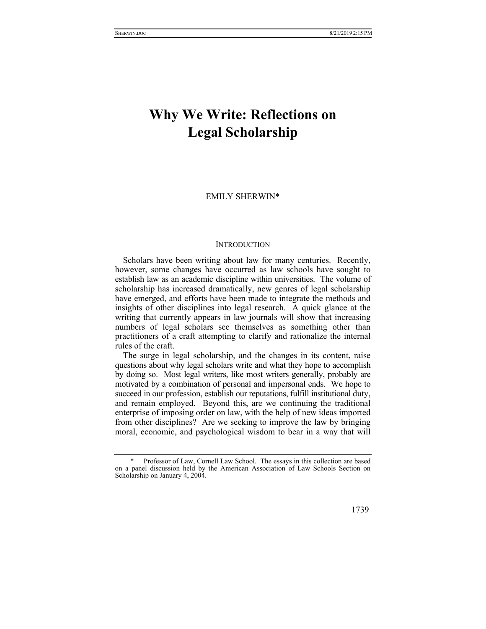## **Why We Write: Reflections on Legal Scholarship**

## EMILY SHERWIN\*

## **INTRODUCTION**

Scholars have been writing about law for many centuries. Recently, however, some changes have occurred as law schools have sought to establish law as an academic discipline within universities. The volume of scholarship has increased dramatically, new genres of legal scholarship have emerged, and efforts have been made to integrate the methods and insights of other disciplines into legal research. A quick glance at the writing that currently appears in law journals will show that increasing numbers of legal scholars see themselves as something other than practitioners of a craft attempting to clarify and rationalize the internal rules of the craft.

The surge in legal scholarship, and the changes in its content, raise questions about why legal scholars write and what they hope to accomplish by doing so. Most legal writers, like most writers generally, probably are motivated by a combination of personal and impersonal ends. We hope to succeed in our profession, establish our reputations, fulfill institutional duty, and remain employed. Beyond this, are we continuing the traditional enterprise of imposing order on law, with the help of new ideas imported from other disciplines? Are we seeking to improve the law by bringing moral, economic, and psychological wisdom to bear in a way that will

 <sup>\*</sup> Professor of Law, Cornell Law School. The essays in this collection are based on a panel discussion held by the American Association of Law Schools Section on Scholarship on January 4, 2004.